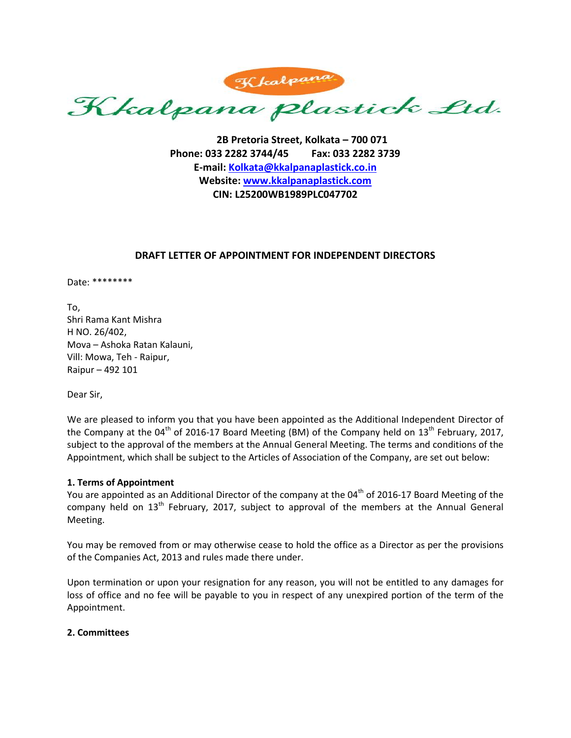Kkalpana plastick Ltd.

**2B Pretoria Street, Kolkata – 700 071 Phone: 033 2282 3744/45 Fax: 033 2282 3739 E-mail: [Kolkata@kkalpanaplastick.co.in](mailto:Kolkata@kkalpanaplastick.co.in) Website: [www.kkalpanaplastick.com](http://www.kkalpanaplastick.com/) CIN: L25200WB1989PLC047702**

# **DRAFT LETTER OF APPOINTMENT FOR INDEPENDENT DIRECTORS**

Date: \*\*\*\*\*\*\*\*

To, Shri Rama Kant Mishra H NO. 26/402, Mova – Ashoka Ratan Kalauni, Vill: Mowa, Teh - Raipur, Raipur – 492 101

Dear Sir,

We are pleased to inform you that you have been appointed as the Additional Independent Director of the Company at the 04<sup>th</sup> of 2016-17 Board Meeting (BM) of the Company held on 13<sup>th</sup> February, 2017, subject to the approval of the members at the Annual General Meeting. The terms and conditions of the Appointment, which shall be subject to the Articles of Association of the Company, are set out below:

# **1. Terms of Appointment**

You are appointed as an Additional Director of the company at the 04<sup>th</sup> of 2016-17 Board Meeting of the company held on 13<sup>th</sup> February, 2017, subject to approval of the members at the Annual General Meeting.

You may be removed from or may otherwise cease to hold the office as a Director as per the provisions of the Companies Act, 2013 and rules made there under.

Upon termination or upon your resignation for any reason, you will not be entitled to any damages for loss of office and no fee will be payable to you in respect of any unexpired portion of the term of the Appointment.

# **2. Committees**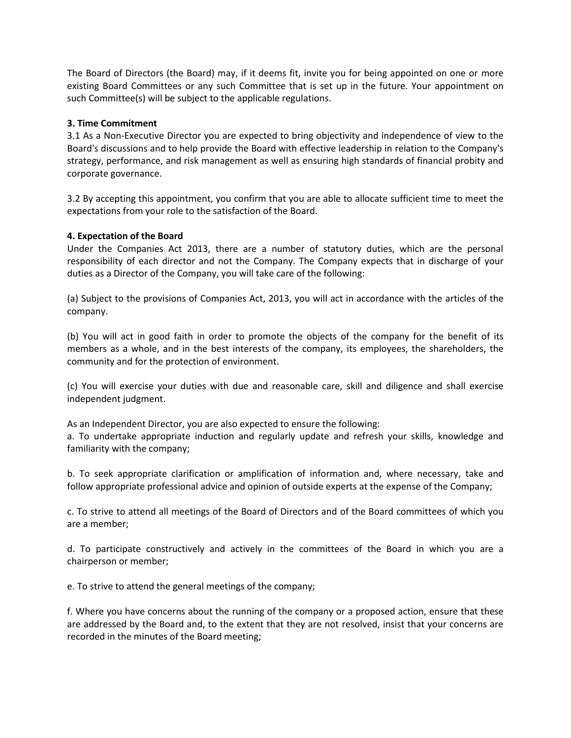The Board of Directors (the Board) may, if it deems fit, invite you for being appointed on one or more existing Board Committees or any such Committee that is set up in the future. Your appointment on such Committee(s) will be subject to the applicable regulations.

## **3. Time Commitment**

3.1 As a Non‐Executive Director you are expected to bring objectivity and independence of view to the Board's discussions and to help provide the Board with effective leadership in relation to the Company's strategy, performance, and risk management as well as ensuring high standards of financial probity and corporate governance.

3.2 By accepting this appointment, you confirm that you are able to allocate sufficient time to meet the expectations from your role to the satisfaction of the Board.

### **4. Expectation of the Board**

Under the Companies Act 2013, there are a number of statutory duties, which are the personal responsibility of each director and not the Company. The Company expects that in discharge of your duties as a Director of the Company, you will take care of the following:

(a) Subject to the provisions of Companies Act, 2013, you will act in accordance with the articles of the company.

(b) You will act in good faith in order to promote the objects of the company for the benefit of its members as a whole, and in the best interests of the company, its employees, the shareholders, the community and for the protection of environment.

(c) You will exercise your duties with due and reasonable care, skill and diligence and shall exercise independent judgment.

As an Independent Director, you are also expected to ensure the following:

a. To undertake appropriate induction and regularly update and refresh your skills, knowledge and familiarity with the company;

b. To seek appropriate clarification or amplification of information and, where necessary, take and follow appropriate professional advice and opinion of outside experts at the expense of the Company;

c. To strive to attend all meetings of the Board of Directors and of the Board committees of which you are a member;

d. To participate constructively and actively in the committees of the Board in which you are a chairperson or member;

e. To strive to attend the general meetings of the company;

f. Where you have concerns about the running of the company or a proposed action, ensure that these are addressed by the Board and, to the extent that they are not resolved, insist that your concerns are recorded in the minutes of the Board meeting;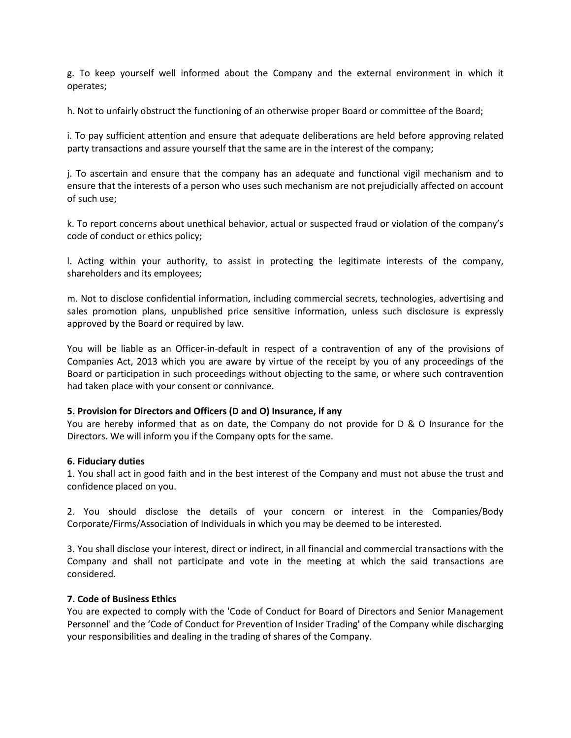g. To keep yourself well informed about the Company and the external environment in which it operates;

h. Not to unfairly obstruct the functioning of an otherwise proper Board or committee of the Board;

i. To pay sufficient attention and ensure that adequate deliberations are held before approving related party transactions and assure yourself that the same are in the interest of the company;

j. To ascertain and ensure that the company has an adequate and functional vigil mechanism and to ensure that the interests of a person who uses such mechanism are not prejudicially affected on account of such use;

k. To report concerns about unethical behavior, actual or suspected fraud or violation of the company's code of conduct or ethics policy;

l. Acting within your authority, to assist in protecting the legitimate interests of the company, shareholders and its employees;

m. Not to disclose confidential information, including commercial secrets, technologies, advertising and sales promotion plans, unpublished price sensitive information, unless such disclosure is expressly approved by the Board or required by law.

You will be liable as an Officer-in-default in respect of a contravention of any of the provisions of Companies Act, 2013 which you are aware by virtue of the receipt by you of any proceedings of the Board or participation in such proceedings without objecting to the same, or where such contravention had taken place with your consent or connivance.

# **5. Provision for Directors and Officers (D and O) Insurance, if any**

You are hereby informed that as on date, the Company do not provide for D & O Insurance for the Directors. We will inform you if the Company opts for the same.

### **6. Fiduciary duties**

1. You shall act in good faith and in the best interest of the Company and must not abuse the trust and confidence placed on you.

2. You should disclose the details of your concern or interest in the Companies/Body Corporate/Firms/Association of Individuals in which you may be deemed to be interested.

3. You shall disclose your interest, direct or indirect, in all financial and commercial transactions with the Company and shall not participate and vote in the meeting at which the said transactions are considered.

# **7. Code of Business Ethics**

You are expected to comply with the 'Code of Conduct for Board of Directors and Senior Management Personnel' and the 'Code of Conduct for Prevention of Insider Trading' of the Company while discharging your responsibilities and dealing in the trading of shares of the Company.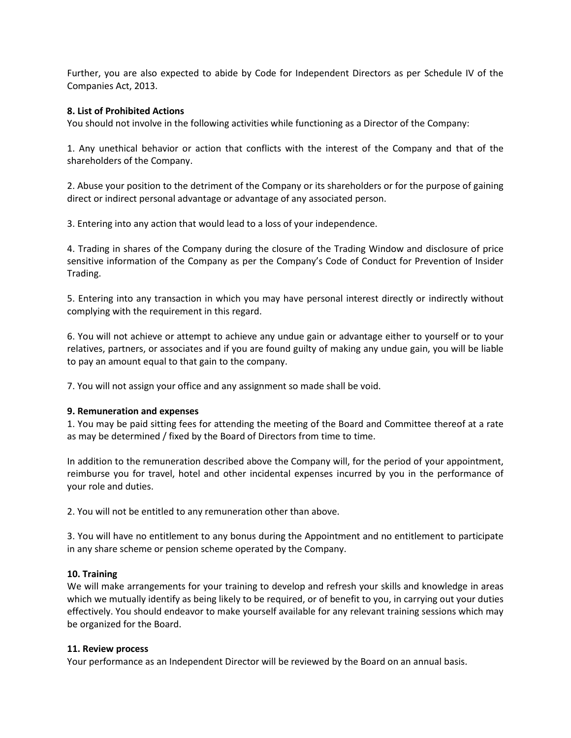Further, you are also expected to abide by Code for Independent Directors as per Schedule IV of the Companies Act, 2013.

### **8. List of Prohibited Actions**

You should not involve in the following activities while functioning as a Director of the Company:

1. Any unethical behavior or action that conflicts with the interest of the Company and that of the shareholders of the Company.

2. Abuse your position to the detriment of the Company or its shareholders or for the purpose of gaining direct or indirect personal advantage or advantage of any associated person.

3. Entering into any action that would lead to a loss of your independence.

4. Trading in shares of the Company during the closure of the Trading Window and disclosure of price sensitive information of the Company as per the Company's Code of Conduct for Prevention of Insider Trading.

5. Entering into any transaction in which you may have personal interest directly or indirectly without complying with the requirement in this regard.

6. You will not achieve or attempt to achieve any undue gain or advantage either to yourself or to your relatives, partners, or associates and if you are found guilty of making any undue gain, you will be liable to pay an amount equal to that gain to the company.

7. You will not assign your office and any assignment so made shall be void.

### **9. Remuneration and expenses**

1. You may be paid sitting fees for attending the meeting of the Board and Committee thereof at a rate as may be determined / fixed by the Board of Directors from time to time.

In addition to the remuneration described above the Company will, for the period of your appointment, reimburse you for travel, hotel and other incidental expenses incurred by you in the performance of your role and duties.

2. You will not be entitled to any remuneration other than above.

3. You will have no entitlement to any bonus during the Appointment and no entitlement to participate in any share scheme or pension scheme operated by the Company.

# **10. Training**

We will make arrangements for your training to develop and refresh your skills and knowledge in areas which we mutually identify as being likely to be required, or of benefit to you, in carrying out your duties effectively. You should endeavor to make yourself available for any relevant training sessions which may be organized for the Board.

### **11. Review process**

Your performance as an Independent Director will be reviewed by the Board on an annual basis.